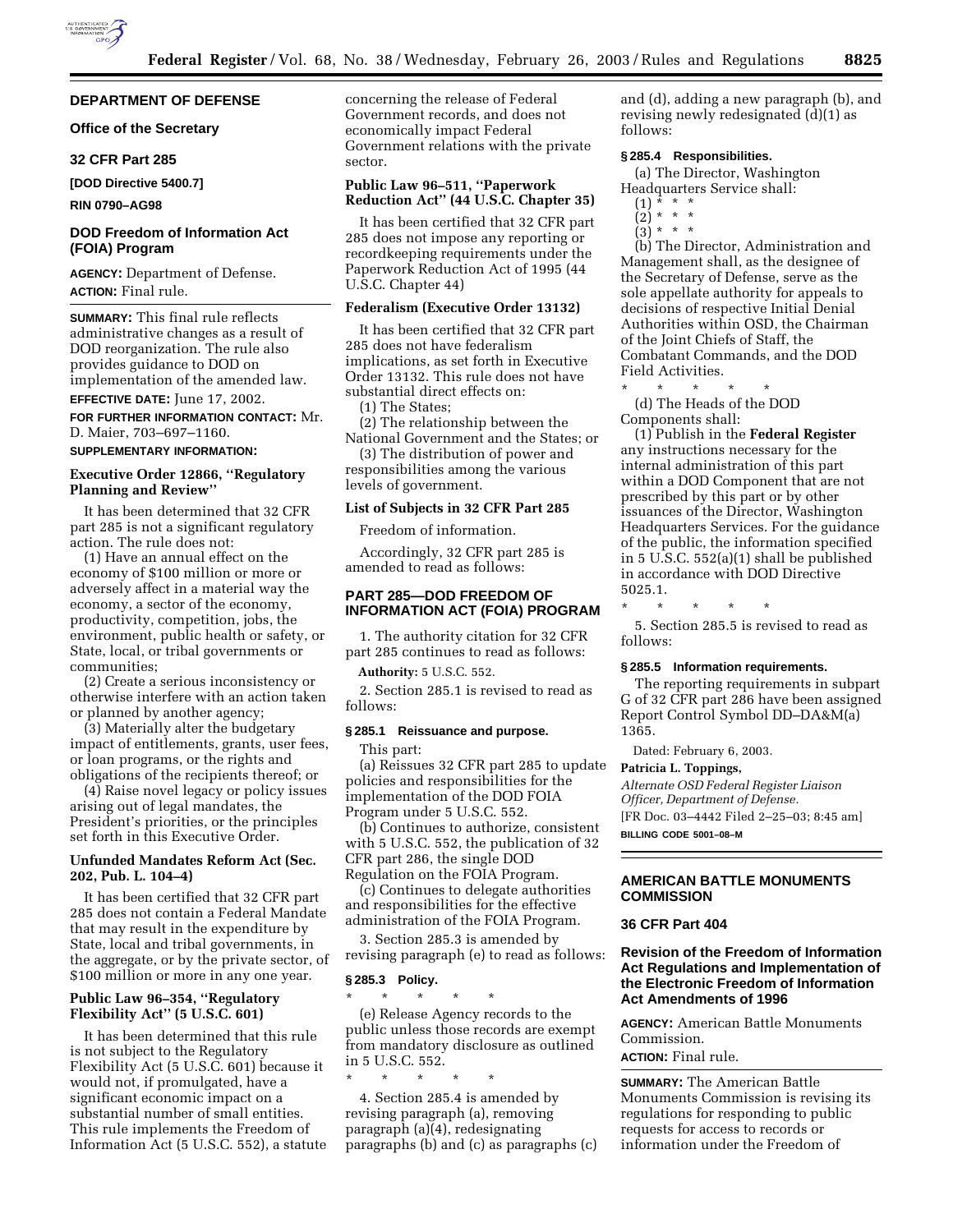### **DEPARTMENT OF DEFENSE**

**Office of the Secretary** 

#### **32 CFR Part 285**

**[DOD Directive 5400.7]** 

**RIN 0790–AG98**

## **DOD Freedom of Information Act (FOIA) Program**

**AGENCY:** Department of Defense. **ACTION:** Final rule.

**SUMMARY:** This final rule reflects administrative changes as a result of DOD reorganization. The rule also provides guidance to DOD on implementation of the amended law.

# **EFFECTIVE DATE:** June 17, 2002.

**FOR FURTHER INFORMATION CONTACT:** Mr. D. Maier, 703–697–1160.

#### **SUPPLEMENTARY INFORMATION:**

### **Executive Order 12866, ''Regulatory Planning and Review''**

It has been determined that 32 CFR part 285 is not a significant regulatory action. The rule does not:

(1) Have an annual effect on the economy of \$100 million or more or adversely affect in a material way the economy, a sector of the economy, productivity, competition, jobs, the environment, public health or safety, or State, local, or tribal governments or communities;

(2) Create a serious inconsistency or otherwise interfere with an action taken or planned by another agency;

(3) Materially alter the budgetary impact of entitlements, grants, user fees, or loan programs, or the rights and obligations of the recipients thereof; or

(4) Raise novel legacy or policy issues arising out of legal mandates, the President's priorities, or the principles set forth in this Executive Order.

## **Unfunded Mandates Reform Act (Sec. 202, Pub. L. 104–4)**

It has been certified that 32 CFR part 285 does not contain a Federal Mandate that may result in the expenditure by State, local and tribal governments, in the aggregate, or by the private sector, of \$100 million or more in any one year.

## **Public Law 96–354, ''Regulatory Flexibility Act'' (5 U.S.C. 601)**

It has been determined that this rule is not subject to the Regulatory Flexibility Act (5 U.S.C. 601) because it would not, if promulgated, have a significant economic impact on a substantial number of small entities. This rule implements the Freedom of Information Act (5 U.S.C. 552), a statute concerning the release of Federal Government records, and does not economically impact Federal Government relations with the private sector.

### **Public Law 96–511, ''Paperwork Reduction Act'' (44 U.S.C. Chapter 35)**

It has been certified that 32 CFR part 285 does not impose any reporting or recordkeeping requirements under the Paperwork Reduction Act of 1995 (44 U.S.C. Chapter 44)

### **Federalism (Executive Order 13132)**

It has been certified that 32 CFR part 285 does not have federalism implications, as set forth in Executive Order 13132. This rule does not have substantial direct effects on:

(1) The States;

(2) The relationship between the National Government and the States; or

(3) The distribution of power and responsibilities among the various levels of government.

#### **List of Subjects in 32 CFR Part 285**

Freedom of information.

Accordingly, 32 CFR part 285 is amended to read as follows:

### **PART 285—DOD FREEDOM OF INFORMATION ACT (FOIA) PROGRAM**

1. The authority citation for 32 CFR part 285 continues to read as follows:

**Authority:** 5 U.S.C. 552.

2. Section 285.1 is revised to read as follows:

#### **§ 285.1 Reissuance and purpose.**

This part:

(a) Reissues 32 CFR part 285 to update policies and responsibilities for the implementation of the DOD FOIA Program under 5 U.S.C. 552.

(b) Continues to authorize, consistent with 5 U.S.C. 552, the publication of 32 CFR part 286, the single DOD Regulation on the FOIA Program.

(c) Continues to delegate authorities and responsibilities for the effective administration of the FOIA Program.

3. Section 285.3 is amended by revising paragraph (e) to read as follows:

#### **§ 285.3 Policy.**

\* \* \* \* \*

\* \* \* \* \* (e) Release Agency records to the public unless those records are exempt from mandatory disclosure as outlined in 5 U.S.C. 552.

4. Section 285.4 is amended by revising paragraph (a), removing paragraph (a)(4), redesignating paragraphs (b) and (c) as paragraphs (c) and (d), adding a new paragraph (b), and revising newly redesignated (d)(1) as follows:

### **§ 285.4 Responsibilities.**

(a) The Director, Washington Headquarters Service shall:<br>(1)  $* * * *$ 

- (1) \* \* \*
- (2) \* \* \*
- $(3) * * * *$

(b) The Director, Administration and Management shall, as the designee of the Secretary of Defense, serve as the sole appellate authority for appeals to decisions of respective Initial Denial Authorities within OSD, the Chairman of the Joint Chiefs of Staff, the Combatant Commands, and the DOD Field Activities.

\* \* \* \* \* (d) The Heads of the DOD Components shall:

(1) Publish in the **Federal Register** any instructions necessary for the internal administration of this part within a DOD Component that are not prescribed by this part or by other issuances of the Director, Washington Headquarters Services. For the guidance of the public, the information specified in 5 U.S.C. 552(a)(1) shall be published in accordance with DOD Directive 5025.1.

\* \* \* \* \*

5. Section 285.5 is revised to read as follows:

#### **§ 285.5 Information requirements.**

The reporting requirements in subpart G of 32 CFR part 286 have been assigned Report Control Symbol DD–DA&M(a) 1365.

Dated: February 6, 2003.

### **Patricia L. Toppings,**

*Alternate OSD Federal Register Liaison Officer, Department of Defense.*

[FR Doc. 03–4442 Filed 2–25–03; 8:45 am] **BILLING CODE 5001–08–M**

# **AMERICAN BATTLE MONUMENTS COMMISSION**

## **36 CFR Part 404**

### **Revision of the Freedom of Information Act Regulations and Implementation of the Electronic Freedom of Information Act Amendments of 1996**

**AGENCY:** American Battle Monuments Commission.

# **ACTION:** Final rule.

**SUMMARY:** The American Battle Monuments Commission is revising its regulations for responding to public requests for access to records or information under the Freedom of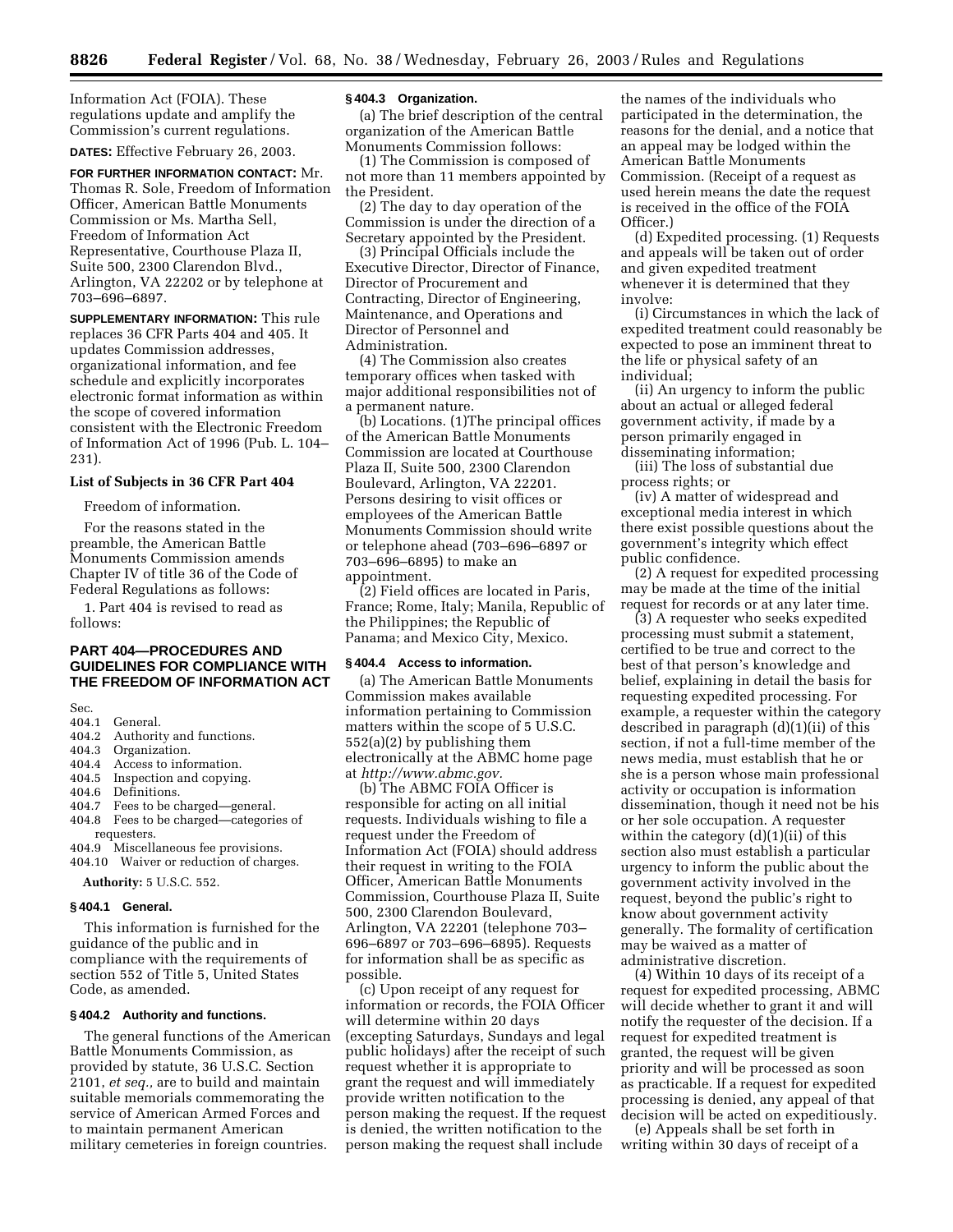Information Act (FOIA). These regulations update and amplify the Commission's current regulations.

**DATES:** Effective February 26, 2003.

**FOR FURTHER INFORMATION CONTACT:** Mr. Thomas R. Sole, Freedom of Information Officer, American Battle Monuments Commission or Ms. Martha Sell, Freedom of Information Act Representative, Courthouse Plaza II, Suite 500, 2300 Clarendon Blvd., Arlington, VA 22202 or by telephone at 703–696–6897.

**SUPPLEMENTARY INFORMATION:** This rule replaces 36 CFR Parts 404 and 405. It updates Commission addresses, organizational information, and fee schedule and explicitly incorporates electronic format information as within the scope of covered information consistent with the Electronic Freedom of Information Act of 1996 (Pub. L. 104– 231).

#### **List of Subjects in 36 CFR Part 404**

Freedom of information.

For the reasons stated in the preamble, the American Battle Monuments Commission amends Chapter IV of title 36 of the Code of Federal Regulations as follows:

1. Part 404 is revised to read as follows:

## **PART 404—PROCEDURES AND GUIDELINES FOR COMPLIANCE WITH THE FREEDOM OF INFORMATION ACT**

# Sec.<br>404.1 404.1 General.<br>404.2 Authorit

- 404.2 Authority and functions.<br>404.3 Organization
- 404.3 Organization.<br>404.4 Access to info
- Access to information.
- 404.5 Inspection and copying.<br>404.6 Definitions.
- Definitions.
- 404.7 Fees to be charged—general.<br>404.8 Fees to be charged—categori
- Fees to be charged—categories of requesters.
- 404.9 Miscellaneous fee provisions.
- 404.10 Waiver or reduction of charges.

**Authority:** 5 U.S.C. 552.

#### **§ 404.1 General.**

This information is furnished for the guidance of the public and in compliance with the requirements of section 552 of Title 5, United States Code, as amended.

### **§ 404.2 Authority and functions.**

The general functions of the American Battle Monuments Commission, as provided by statute, 36 U.S.C. Section 2101, *et seq.,* are to build and maintain suitable memorials commemorating the service of American Armed Forces and to maintain permanent American military cemeteries in foreign countries.

#### **§ 404.3 Organization.**

(a) The brief description of the central organization of the American Battle Monuments Commission follows:

(1) The Commission is composed of not more than 11 members appointed by the President.

(2) The day to day operation of the Commission is under the direction of a Secretary appointed by the President.

(3) Principal Officials include the Executive Director, Director of Finance, Director of Procurement and Contracting, Director of Engineering, Maintenance, and Operations and Director of Personnel and Administration.

(4) The Commission also creates temporary offices when tasked with major additional responsibilities not of a permanent nature.

(b) Locations. (1)The principal offices of the American Battle Monuments Commission are located at Courthouse Plaza II, Suite 500, 2300 Clarendon Boulevard, Arlington, VA 22201. Persons desiring to visit offices or employees of the American Battle Monuments Commission should write or telephone ahead (703–696–6897 or 703–696–6895) to make an appointment.

(2) Field offices are located in Paris, France; Rome, Italy; Manila, Republic of the Philippines; the Republic of Panama; and Mexico City, Mexico.

#### **§ 404.4 Access to information.**

(a) The American Battle Monuments Commission makes available information pertaining to Commission matters within the scope of 5 U.S.C. 552(a)(2) by publishing them electronically at the ABMC home page at *http://www.abmc.gov.*

(b) The ABMC FOIA Officer is responsible for acting on all initial requests. Individuals wishing to file a request under the Freedom of Information Act (FOIA) should address their request in writing to the FOIA Officer, American Battle Monuments Commission, Courthouse Plaza II, Suite 500, 2300 Clarendon Boulevard, Arlington, VA 22201 (telephone 703– 696–6897 or 703–696–6895). Requests for information shall be as specific as possible.

(c) Upon receipt of any request for information or records, the FOIA Officer will determine within 20 days (excepting Saturdays, Sundays and legal public holidays) after the receipt of such request whether it is appropriate to grant the request and will immediately provide written notification to the person making the request. If the request is denied, the written notification to the person making the request shall include

the names of the individuals who participated in the determination, the reasons for the denial, and a notice that an appeal may be lodged within the American Battle Monuments Commission. (Receipt of a request as used herein means the date the request is received in the office of the FOIA Officer.)

(d) Expedited processing. (1) Requests and appeals will be taken out of order and given expedited treatment whenever it is determined that they involve:

(i) Circumstances in which the lack of expedited treatment could reasonably be expected to pose an imminent threat to the life or physical safety of an individual;

(ii) An urgency to inform the public about an actual or alleged federal government activity, if made by a person primarily engaged in disseminating information;

(iii) The loss of substantial due process rights; or

(iv) A matter of widespread and exceptional media interest in which there exist possible questions about the government's integrity which effect public confidence.

(2) A request for expedited processing may be made at the time of the initial request for records or at any later time.

(3) A requester who seeks expedited processing must submit a statement, certified to be true and correct to the best of that person's knowledge and belief, explaining in detail the basis for requesting expedited processing. For example, a requester within the category described in paragraph (d)(1)(ii) of this section, if not a full-time member of the news media, must establish that he or she is a person whose main professional activity or occupation is information dissemination, though it need not be his or her sole occupation. A requester within the category  $(d)(1)(ii)$  of this section also must establish a particular urgency to inform the public about the government activity involved in the request, beyond the public's right to know about government activity generally. The formality of certification may be waived as a matter of administrative discretion.

(4) Within 10 days of its receipt of a request for expedited processing, ABMC will decide whether to grant it and will notify the requester of the decision. If a request for expedited treatment is granted, the request will be given priority and will be processed as soon as practicable. If a request for expedited processing is denied, any appeal of that decision will be acted on expeditiously.

(e) Appeals shall be set forth in writing within 30 days of receipt of a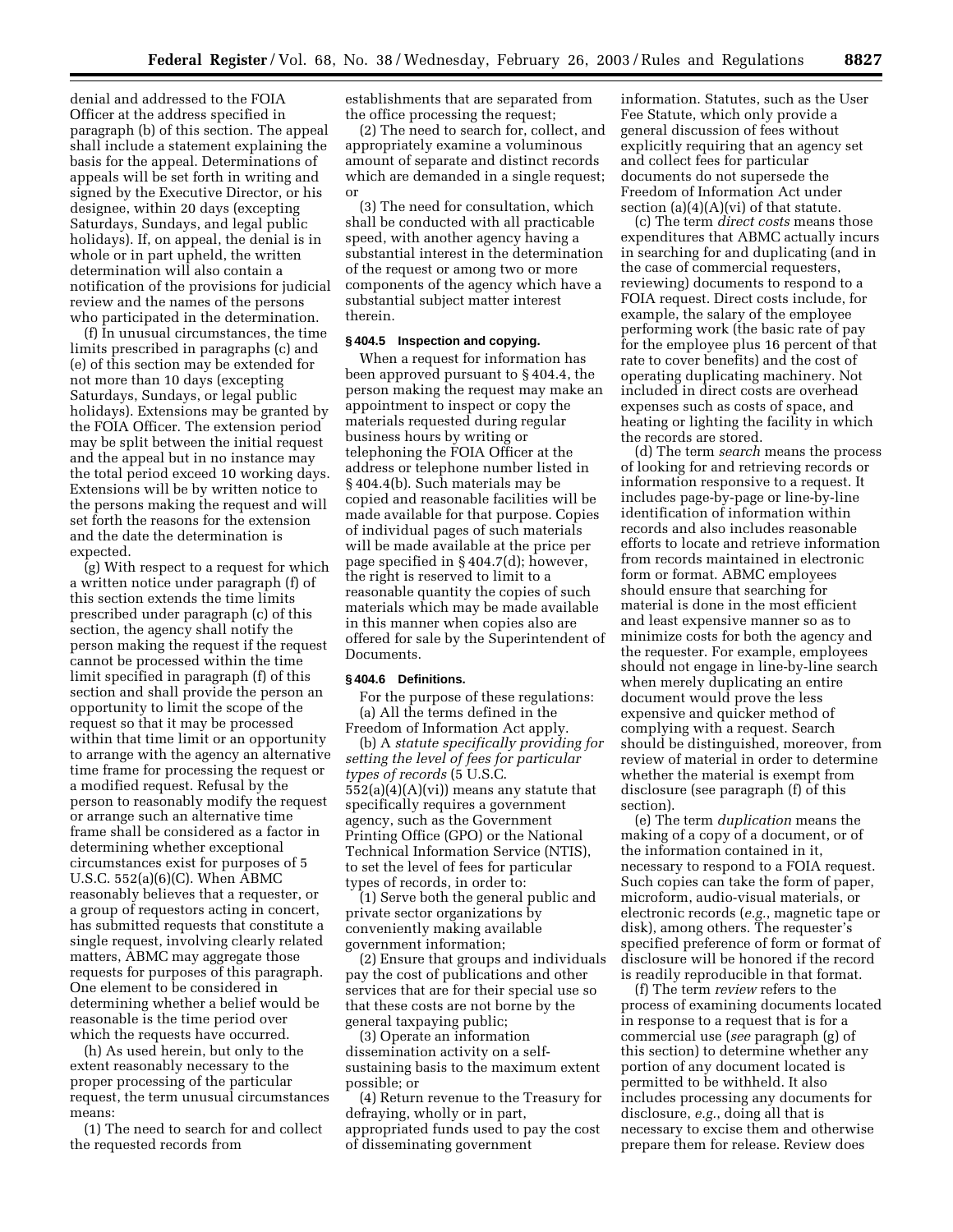denial and addressed to the FOIA Officer at the address specified in paragraph (b) of this section. The appeal shall include a statement explaining the basis for the appeal. Determinations of appeals will be set forth in writing and signed by the Executive Director, or his designee, within 20 days (excepting Saturdays, Sundays, and legal public holidays). If, on appeal, the denial is in whole or in part upheld, the written determination will also contain a notification of the provisions for judicial review and the names of the persons who participated in the determination.

(f) In unusual circumstances, the time limits prescribed in paragraphs (c) and (e) of this section may be extended for not more than 10 days (excepting Saturdays, Sundays, or legal public holidays). Extensions may be granted by the FOIA Officer. The extension period may be split between the initial request and the appeal but in no instance may the total period exceed 10 working days. Extensions will be by written notice to the persons making the request and will set forth the reasons for the extension and the date the determination is expected.

(g) With respect to a request for which a written notice under paragraph (f) of this section extends the time limits prescribed under paragraph (c) of this section, the agency shall notify the person making the request if the request cannot be processed within the time limit specified in paragraph (f) of this section and shall provide the person an opportunity to limit the scope of the request so that it may be processed within that time limit or an opportunity to arrange with the agency an alternative time frame for processing the request or a modified request. Refusal by the person to reasonably modify the request or arrange such an alternative time frame shall be considered as a factor in determining whether exceptional circumstances exist for purposes of 5 U.S.C. 552(a)(6)(C). When ABMC reasonably believes that a requester, or a group of requestors acting in concert, has submitted requests that constitute a single request, involving clearly related matters, ABMC may aggregate those requests for purposes of this paragraph. One element to be considered in determining whether a belief would be reasonable is the time period over which the requests have occurred.

(h) As used herein, but only to the extent reasonably necessary to the proper processing of the particular request, the term unusual circumstances means:

(1) The need to search for and collect the requested records from

establishments that are separated from the office processing the request;

(2) The need to search for, collect, and appropriately examine a voluminous amount of separate and distinct records which are demanded in a single request; or

(3) The need for consultation, which shall be conducted with all practicable speed, with another agency having a substantial interest in the determination of the request or among two or more components of the agency which have a substantial subject matter interest therein.

### **§ 404.5 Inspection and copying.**

When a request for information has been approved pursuant to § 404.4, the person making the request may make an appointment to inspect or copy the materials requested during regular business hours by writing or telephoning the FOIA Officer at the address or telephone number listed in § 404.4(b). Such materials may be copied and reasonable facilities will be made available for that purpose. Copies of individual pages of such materials will be made available at the price per page specified in § 404.7(d); however, the right is reserved to limit to a reasonable quantity the copies of such materials which may be made available in this manner when copies also are offered for sale by the Superintendent of Documents.

#### **§ 404.6 Definitions.**

For the purpose of these regulations: (a) All the terms defined in the Freedom of Information Act apply.

(b) A *statute specifically providing for setting the level of fees for particular types of records* (5 U.S.C. 552(a)(4)(A)(vi)) means any statute that specifically requires a government agency, such as the Government Printing Office (GPO) or the National Technical Information Service (NTIS), to set the level of fees for particular types of records, in order to:

(1) Serve both the general public and private sector organizations by conveniently making available government information;

(2) Ensure that groups and individuals pay the cost of publications and other services that are for their special use so that these costs are not borne by the general taxpaying public;

(3) Operate an information dissemination activity on a selfsustaining basis to the maximum extent possible; or

(4) Return revenue to the Treasury for defraying, wholly or in part, appropriated funds used to pay the cost of disseminating government

information. Statutes, such as the User Fee Statute, which only provide a general discussion of fees without explicitly requiring that an agency set and collect fees for particular documents do not supersede the Freedom of Information Act under section (a)(4)(A)(vi) of that statute.

(c) The term *direct costs* means those expenditures that ABMC actually incurs in searching for and duplicating (and in the case of commercial requesters, reviewing) documents to respond to a FOIA request. Direct costs include, for example, the salary of the employee performing work (the basic rate of pay for the employee plus 16 percent of that rate to cover benefits) and the cost of operating duplicating machinery. Not included in direct costs are overhead expenses such as costs of space, and heating or lighting the facility in which the records are stored.

(d) The term *search* means the process of looking for and retrieving records or information responsive to a request. It includes page-by-page or line-by-line identification of information within records and also includes reasonable efforts to locate and retrieve information from records maintained in electronic form or format. ABMC employees should ensure that searching for material is done in the most efficient and least expensive manner so as to minimize costs for both the agency and the requester. For example, employees should not engage in line-by-line search when merely duplicating an entire document would prove the less expensive and quicker method of complying with a request. Search should be distinguished, moreover, from review of material in order to determine whether the material is exempt from disclosure (see paragraph (f) of this section).

(e) The term *duplication* means the making of a copy of a document, or of the information contained in it, necessary to respond to a FOIA request. Such copies can take the form of paper, microform, audio-visual materials, or electronic records (*e.g.*, magnetic tape or disk), among others. The requester's specified preference of form or format of disclosure will be honored if the record is readily reproducible in that format.

(f) The term *review* refers to the process of examining documents located in response to a request that is for a commercial use (*see* paragraph (g) of this section) to determine whether any portion of any document located is permitted to be withheld. It also includes processing any documents for disclosure, *e.g.*, doing all that is necessary to excise them and otherwise prepare them for release. Review does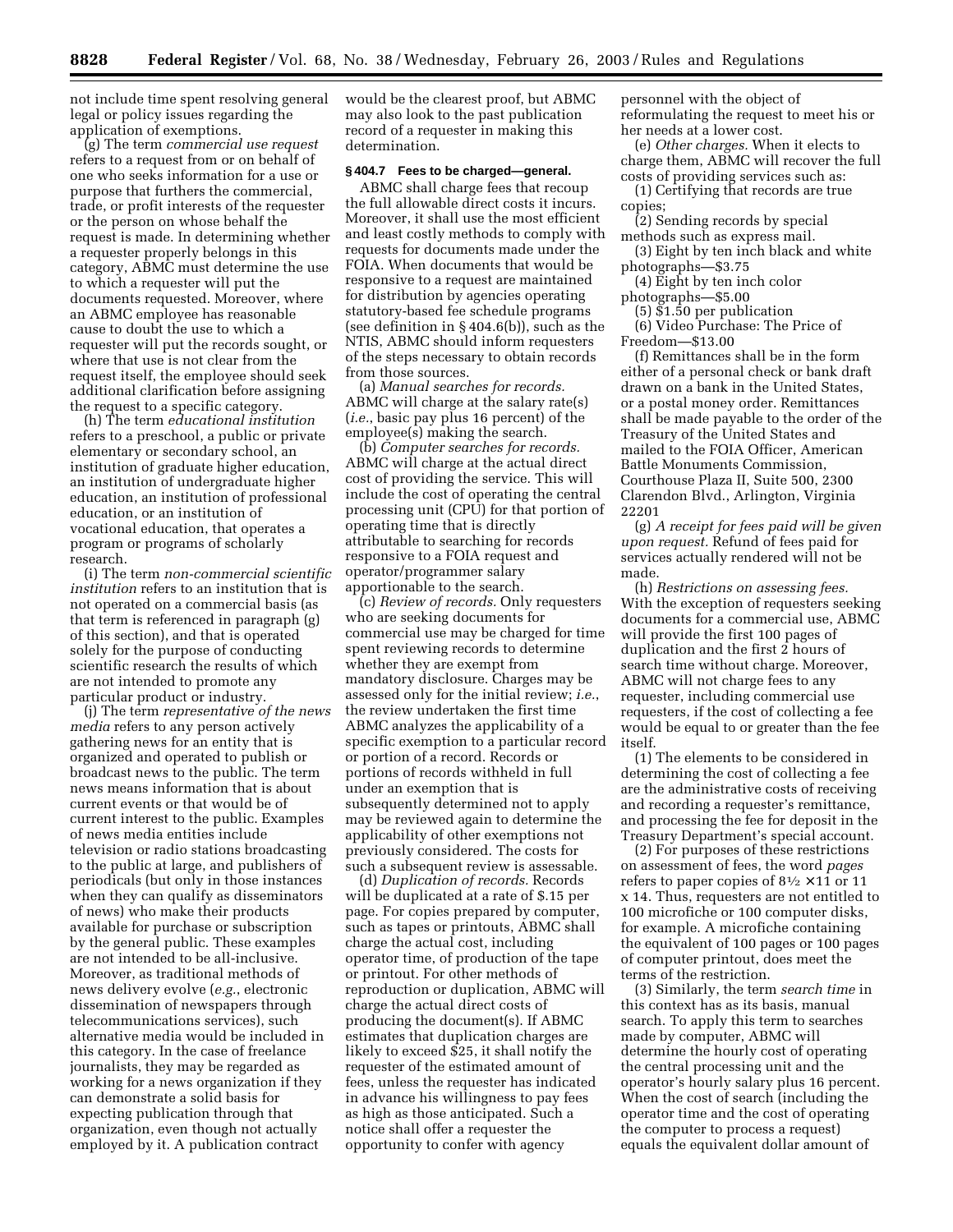not include time spent resolving general legal or policy issues regarding the application of exemptions.

(g) The term *commercial use request* refers to a request from or on behalf of one who seeks information for a use or purpose that furthers the commercial, trade, or profit interests of the requester or the person on whose behalf the request is made. In determining whether a requester properly belongs in this category, ABMC must determine the use to which a requester will put the documents requested. Moreover, where an ABMC employee has reasonable cause to doubt the use to which a requester will put the records sought, or where that use is not clear from the request itself, the employee should seek additional clarification before assigning the request to a specific category.

(h) The term *educational institution* refers to a preschool, a public or private elementary or secondary school, an institution of graduate higher education, an institution of undergraduate higher education, an institution of professional education, or an institution of vocational education, that operates a program or programs of scholarly research.

(i) The term *non-commercial scientific institution* refers to an institution that is not operated on a commercial basis (as that term is referenced in paragraph (g) of this section), and that is operated solely for the purpose of conducting scientific research the results of which are not intended to promote any particular product or industry.

(j) The term *representative of the news media* refers to any person actively gathering news for an entity that is organized and operated to publish or broadcast news to the public. The term news means information that is about current events or that would be of current interest to the public. Examples of news media entities include television or radio stations broadcasting to the public at large, and publishers of periodicals (but only in those instances when they can qualify as disseminators of news) who make their products available for purchase or subscription by the general public. These examples are not intended to be all-inclusive. Moreover, as traditional methods of news delivery evolve (*e.g.*, electronic dissemination of newspapers through telecommunications services), such alternative media would be included in this category. In the case of freelance journalists, they may be regarded as working for a news organization if they can demonstrate a solid basis for expecting publication through that organization, even though not actually employed by it. A publication contract

would be the clearest proof, but ABMC may also look to the past publication record of a requester in making this determination.

#### **§ 404.7 Fees to be charged—general.**

ABMC shall charge fees that recoup the full allowable direct costs it incurs. Moreover, it shall use the most efficient and least costly methods to comply with requests for documents made under the FOIA. When documents that would be responsive to a request are maintained for distribution by agencies operating statutory-based fee schedule programs (see definition in § 404.6(b)), such as the NTIS, ABMC should inform requesters of the steps necessary to obtain records from those sources.

(a) *Manual searches for records.* ABMC will charge at the salary rate(s) (*i.e.*, basic pay plus 16 percent) of the employee(s) making the search.

(b) *Computer searches for records.* ABMC will charge at the actual direct cost of providing the service. This will include the cost of operating the central processing unit (CPU) for that portion of operating time that is directly attributable to searching for records responsive to a FOIA request and operator/programmer salary apportionable to the search.

(c) *Review of records.* Only requesters who are seeking documents for commercial use may be charged for time spent reviewing records to determine whether they are exempt from mandatory disclosure. Charges may be assessed only for the initial review; *i.e.*, the review undertaken the first time ABMC analyzes the applicability of a specific exemption to a particular record or portion of a record. Records or portions of records withheld in full under an exemption that is subsequently determined not to apply may be reviewed again to determine the applicability of other exemptions not previously considered. The costs for such a subsequent review is assessable.

(d) *Duplication of records.* Records will be duplicated at a rate of \$.15 per page. For copies prepared by computer, such as tapes or printouts, ABMC shall charge the actual cost, including operator time, of production of the tape or printout. For other methods of reproduction or duplication, ABMC will charge the actual direct costs of producing the document(s). If ABMC estimates that duplication charges are likely to exceed \$25, it shall notify the requester of the estimated amount of fees, unless the requester has indicated in advance his willingness to pay fees as high as those anticipated. Such a notice shall offer a requester the opportunity to confer with agency

personnel with the object of reformulating the request to meet his or her needs at a lower cost.

(e) *Other charges.* When it elects to charge them, ABMC will recover the full costs of providing services such as:

- (1) Certifying that records are true copies;
- (2) Sending records by special methods such as express mail.
- (3) Eight by ten inch black and white photographs—\$3.75

(4) Eight by ten inch color

photographs—\$5.00

(5) \$1.50 per publication

(6) Video Purchase: The Price of Freedom—\$13.00

(f) Remittances shall be in the form either of a personal check or bank draft drawn on a bank in the United States, or a postal money order. Remittances shall be made payable to the order of the Treasury of the United States and mailed to the FOIA Officer, American Battle Monuments Commission, Courthouse Plaza II, Suite 500, 2300 Clarendon Blvd., Arlington, Virginia 22201

(g) *A receipt for fees paid will be given upon request.* Refund of fees paid for services actually rendered will not be made.

(h) *Restrictions on assessing fees.* With the exception of requesters seeking documents for a commercial use, ABMC will provide the first 100 pages of duplication and the first 2 hours of search time without charge. Moreover, ABMC will not charge fees to any requester, including commercial use requesters, if the cost of collecting a fee would be equal to or greater than the fee itself.

(1) The elements to be considered in determining the cost of collecting a fee are the administrative costs of receiving and recording a requester's remittance, and processing the fee for deposit in the Treasury Department's special account.

(2) For purposes of these restrictions on assessment of fees, the word *pages* refers to paper copies of  $8\frac{1}{2} \times 11$  or 11 x 14. Thus, requesters are not entitled to 100 microfiche or 100 computer disks, for example. A microfiche containing the equivalent of 100 pages or 100 pages of computer printout, does meet the terms of the restriction.

(3) Similarly, the term *search time* in this context has as its basis, manual search. To apply this term to searches made by computer, ABMC will determine the hourly cost of operating the central processing unit and the operator's hourly salary plus 16 percent. When the cost of search (including the operator time and the cost of operating the computer to process a request) equals the equivalent dollar amount of